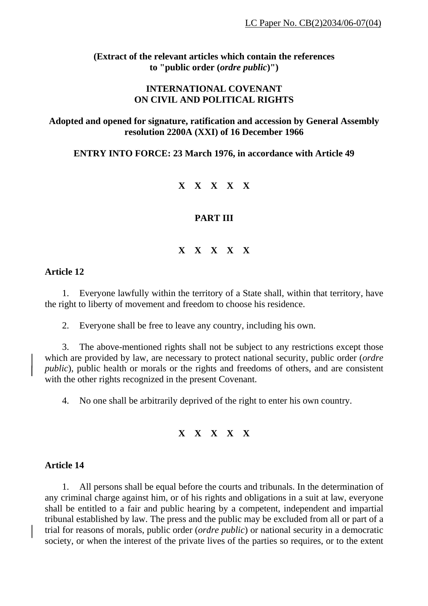**(Extract of the relevant articles which contain the references to "public order (***ordre public***)")** 

#### **INTERNATIONAL COVENANT ON CIVIL AND POLITICAL RIGHTS**

### **Adopted and opened for signature, ratification and accession by General Assembly resolution 2200A (XXI) of 16 December 1966**

### **ENTRY INTO FORCE: 23 March 1976, in accordance with Article 49**

# **X X X X X**

# **PART III**

# **X X X X X**

# **Article 12**

 1. Everyone lawfully within the territory of a State shall, within that territory, have the right to liberty of movement and freedom to choose his residence.

2. Everyone shall be free to leave any country, including his own.

 3. The above-mentioned rights shall not be subject to any restrictions except those which are provided by law, are necessary to protect national security, public order (*ordre public*), public health or morals or the rights and freedoms of others, and are consistent with the other rights recognized in the present Covenant.

4. No one shall be arbitrarily deprived of the right to enter his own country.

# **X X X X X**

#### **Article 14**

 1. All persons shall be equal before the courts and tribunals. In the determination of any criminal charge against him, or of his rights and obligations in a suit at law, everyone shall be entitled to a fair and public hearing by a competent, independent and impartial tribunal established by law. The press and the public may be excluded from all or part of a trial for reasons of morals, public order (*ordre public*) or national security in a democratic society, or when the interest of the private lives of the parties so requires, or to the extent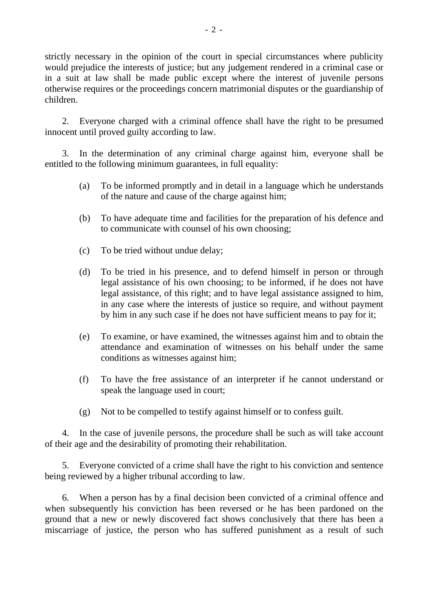strictly necessary in the opinion of the court in special circumstances where publicity would prejudice the interests of justice; but any judgement rendered in a criminal case or in a suit at law shall be made public except where the interest of juvenile persons otherwise requires or the proceedings concern matrimonial disputes or the guardianship of children.

 2. Everyone charged with a criminal offence shall have the right to be presumed innocent until proved guilty according to law.

 3. In the determination of any criminal charge against him, everyone shall be entitled to the following minimum guarantees, in full equality:

- (a) To be informed promptly and in detail in a language which he understands of the nature and cause of the charge against him;
- (b) To have adequate time and facilities for the preparation of his defence and to communicate with counsel of his own choosing;
- (c) To be tried without undue delay;
- (d) To be tried in his presence, and to defend himself in person or through legal assistance of his own choosing; to be informed, if he does not have legal assistance, of this right; and to have legal assistance assigned to him, in any case where the interests of justice so require, and without payment by him in any such case if he does not have sufficient means to pay for it;
- (e) To examine, or have examined, the witnesses against him and to obtain the attendance and examination of witnesses on his behalf under the same conditions as witnesses against him;
- (f) To have the free assistance of an interpreter if he cannot understand or speak the language used in court;
- (g) Not to be compelled to testify against himself or to confess guilt.

 4. In the case of juvenile persons, the procedure shall be such as will take account of their age and the desirability of promoting their rehabilitation.

 5. Everyone convicted of a crime shall have the right to his conviction and sentence being reviewed by a higher tribunal according to law.

 6. When a person has by a final decision been convicted of a criminal offence and when subsequently his conviction has been reversed or he has been pardoned on the ground that a new or newly discovered fact shows conclusively that there has been a miscarriage of justice, the person who has suffered punishment as a result of such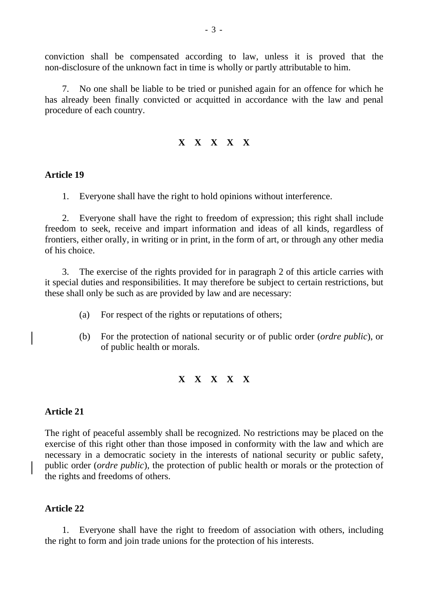conviction shall be compensated according to law, unless it is proved that the non-disclosure of the unknown fact in time is wholly or partly attributable to him.

 7. No one shall be liable to be tried or punished again for an offence for which he has already been finally convicted or acquitted in accordance with the law and penal procedure of each country.

**X X X X X**

### **Article 19**

1. Everyone shall have the right to hold opinions without interference.

 2. Everyone shall have the right to freedom of expression; this right shall include freedom to seek, receive and impart information and ideas of all kinds, regardless of frontiers, either orally, in writing or in print, in the form of art, or through any other media of his choice.

 3. The exercise of the rights provided for in paragraph 2 of this article carries with it special duties and responsibilities. It may therefore be subject to certain restrictions, but these shall only be such as are provided by law and are necessary:

- (a) For respect of the rights or reputations of others;
- (b) For the protection of national security or of public order (*ordre public*), or of public health or morals.

# **X X X X X**

# **Article 21**

The right of peaceful assembly shall be recognized. No restrictions may be placed on the exercise of this right other than those imposed in conformity with the law and which are necessary in a democratic society in the interests of national security or public safety, public order (*ordre public*), the protection of public health or morals or the protection of the rights and freedoms of others.

#### **Article 22**

 1. Everyone shall have the right to freedom of association with others, including the right to form and join trade unions for the protection of his interests.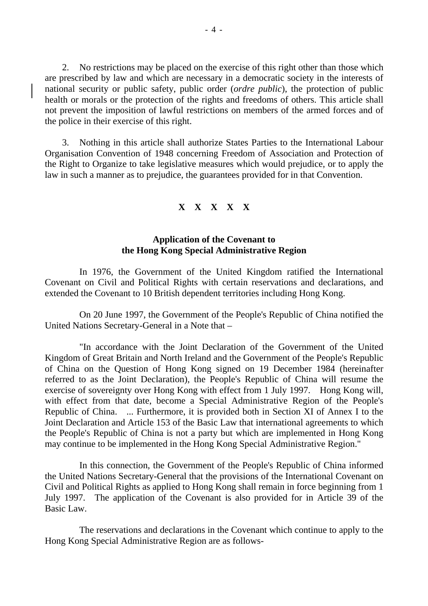2. No restrictions may be placed on the exercise of this right other than those which are prescribed by law and which are necessary in a democratic society in the interests of national security or public safety, public order (*ordre public*), the protection of public health or morals or the protection of the rights and freedoms of others. This article shall not prevent the imposition of lawful restrictions on members of the armed forces and of the police in their exercise of this right.

 3. Nothing in this article shall authorize States Parties to the International Labour Organisation Convention of 1948 concerning Freedom of Association and Protection of the Right to Organize to take legislative measures which would prejudice, or to apply the law in such a manner as to prejudice, the guarantees provided for in that Convention.

### **X X X X X**

### **Application of the Covenant to the Hong Kong Special Administrative Region**

 In 1976, the Government of the United Kingdom ratified the International Covenant on Civil and Political Rights with certain reservations and declarations, and extended the Covenant to 10 British dependent territories including Hong Kong.

 On 20 June 1997, the Government of the People's Republic of China notified the United Nations Secretary-General in a Note that –

 "In accordance with the Joint Declaration of the Government of the United Kingdom of Great Britain and North Ireland and the Government of the People's Republic of China on the Question of Hong Kong signed on 19 December 1984 (hereinafter referred to as the Joint Declaration), the People's Republic of China will resume the exercise of sovereignty over Hong Kong with effect from 1 July 1997. Hong Kong will, with effect from that date, become a Special Administrative Region of the People's Republic of China. ... Furthermore, it is provided both in Section XI of Annex I to the Joint Declaration and Article 153 of the Basic Law that international agreements to which the People's Republic of China is not a party but which are implemented in Hong Kong may continue to be implemented in the Hong Kong Special Administrative Region."

 In this connection, the Government of the People's Republic of China informed the United Nations Secretary-General that the provisions of the International Covenant on Civil and Political Rights as applied to Hong Kong shall remain in force beginning from 1 July 1997. The application of the Covenant is also provided for in Article 39 of the Basic Law.

 The reservations and declarations in the Covenant which continue to apply to the Hong Kong Special Administrative Region are as follows-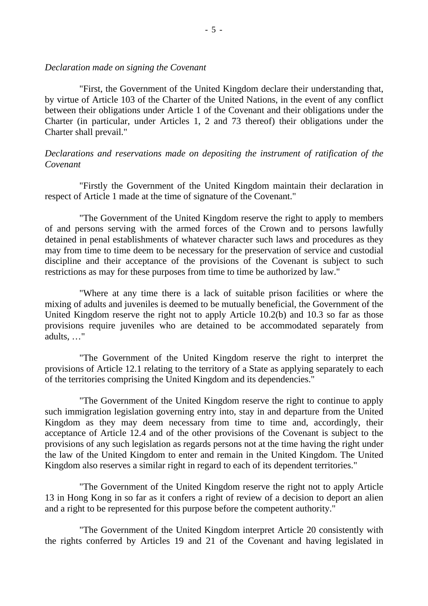#### *Declaration made on signing the Covenant*

 "First, the Government of the United Kingdom declare their understanding that, by virtue of Article 103 of the Charter of the United Nations, in the event of any conflict between their obligations under Article 1 of the Covenant and their obligations under the Charter (in particular, under Articles 1, 2 and 73 thereof) their obligations under the Charter shall prevail."

#### *Declarations and reservations made on depositing the instrument of ratification of the Covenant*

 "Firstly the Government of the United Kingdom maintain their declaration in respect of Article 1 made at the time of signature of the Covenant."

 "The Government of the United Kingdom reserve the right to apply to members of and persons serving with the armed forces of the Crown and to persons lawfully detained in penal establishments of whatever character such laws and procedures as they may from time to time deem to be necessary for the preservation of service and custodial discipline and their acceptance of the provisions of the Covenant is subject to such restrictions as may for these purposes from time to time be authorized by law."

 "Where at any time there is a lack of suitable prison facilities or where the mixing of adults and juveniles is deemed to be mutually beneficial, the Government of the United Kingdom reserve the right not to apply Article 10.2(b) and 10.3 so far as those provisions require juveniles who are detained to be accommodated separately from adults, …"

 "The Government of the United Kingdom reserve the right to interpret the provisions of Article 12.1 relating to the territory of a State as applying separately to each of the territories comprising the United Kingdom and its dependencies."

 "The Government of the United Kingdom reserve the right to continue to apply such immigration legislation governing entry into, stay in and departure from the United Kingdom as they may deem necessary from time to time and, accordingly, their acceptance of Article 12.4 and of the other provisions of the Covenant is subject to the provisions of any such legislation as regards persons not at the time having the right under the law of the United Kingdom to enter and remain in the United Kingdom. The United Kingdom also reserves a similar right in regard to each of its dependent territories."

 "The Government of the United Kingdom reserve the right not to apply Article 13 in Hong Kong in so far as it confers a right of review of a decision to deport an alien and a right to be represented for this purpose before the competent authority."

 "The Government of the United Kingdom interpret Article 20 consistently with the rights conferred by Articles 19 and 21 of the Covenant and having legislated in